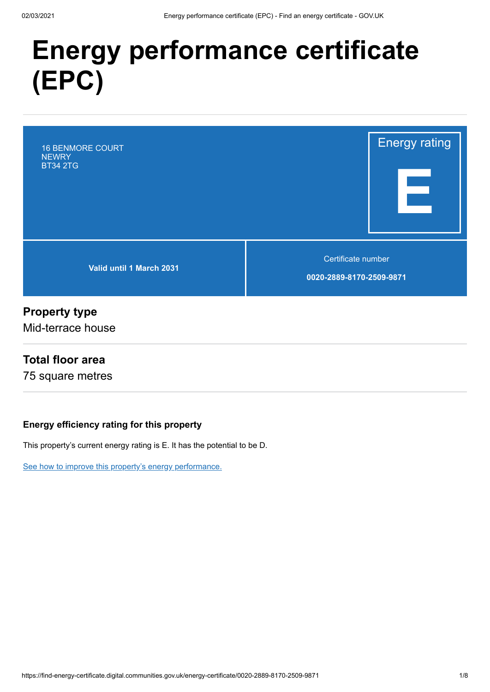# **Energy performance certificate (EPC)**

16 BENMORE COURT **NEWRY** BT34 2TG

**Valid until 1 March 2031**

Certificate number

**0020-2889-8170-2509-9871**

Energy rating

**E**

#### **Property type**

Mid-terrace house

#### **Total floor area**

75 square metres

#### **Energy efficiency rating for this property**

This property's current energy rating is E. It has the potential to be D.

[See how to improve this property's energy performance.](#page-3-0)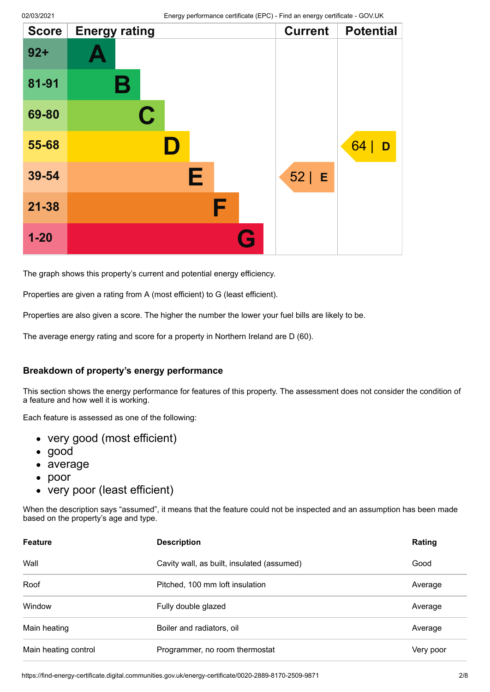| <b>Score</b> | <b>Energy rating</b> |   |   | <b>Current</b> | <b>Potential</b> |
|--------------|----------------------|---|---|----------------|------------------|
| $92 +$       |                      |   |   |                |                  |
| 81-91        | Β                    |   |   |                |                  |
| 69-80        | $\mathbf C$          |   |   |                |                  |
| 55-68        |                      |   |   |                | 64<br>D          |
| 39-54        |                      | Е |   | $52 \mid E$    |                  |
| $21 - 38$    |                      | F |   |                |                  |
| $1 - 20$     |                      |   | a |                |                  |

The graph shows this property's current and potential energy efficiency.

Properties are given a rating from A (most efficient) to G (least efficient).

Properties are also given a score. The higher the number the lower your fuel bills are likely to be.

The average energy rating and score for a property in Northern Ireland are D (60).

#### **Breakdown of property's energy performance**

This section shows the energy performance for features of this property. The assessment does not consider the condition of a feature and how well it is working.

Each feature is assessed as one of the following:

- very good (most efficient)
- good
- average
- $\bullet$ poor
- very poor (least efficient)

When the description says "assumed", it means that the feature could not be inspected and an assumption has been made based on the property's age and type.

| <b>Feature</b>       | <b>Description</b>                         | Rating    |
|----------------------|--------------------------------------------|-----------|
| Wall                 | Cavity wall, as built, insulated (assumed) | Good      |
| Roof                 | Pitched, 100 mm loft insulation            | Average   |
| Window               | Fully double glazed                        | Average   |
| Main heating         | Boiler and radiators, oil                  | Average   |
| Main heating control | Programmer, no room thermostat             | Very poor |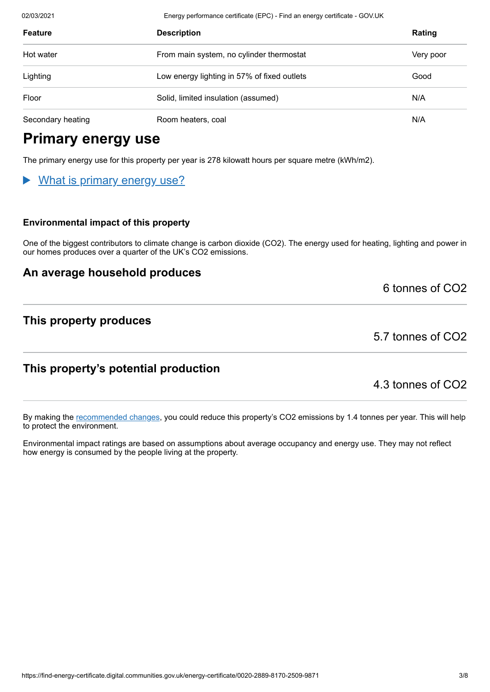02/03/2021 Energy performance certificate (EPC) - Find an energy certificate - GOV.UK

| <b>Feature</b>    | <b>Description</b>                          | Rating    |
|-------------------|---------------------------------------------|-----------|
| Hot water         | From main system, no cylinder thermostat    | Very poor |
| Lighting          | Low energy lighting in 57% of fixed outlets | Good      |
| Floor             | Solid, limited insulation (assumed)         | N/A       |
| Secondary heating | Room heaters, coal                          | N/A       |

## **Primary energy use**

The primary energy use for this property per year is 278 kilowatt hours per square metre (kWh/m2).

#### What is primary energy use?

#### **Environmental impact of this property**

One of the biggest contributors to climate change is carbon dioxide (CO2). The energy used for heating, lighting and power in our homes produces over a quarter of the UK's CO2 emissions.

#### **An average household produces**

6 tonnes of CO2

#### **This property produces**

5.7 tonnes of CO2

#### **This property's potential production**

4.3 tonnes of CO2

By making the [recommended changes](#page-3-0), you could reduce this property's CO2 emissions by 1.4 tonnes per year. This will help to protect the environment.

Environmental impact ratings are based on assumptions about average occupancy and energy use. They may not reflect how energy is consumed by the people living at the property.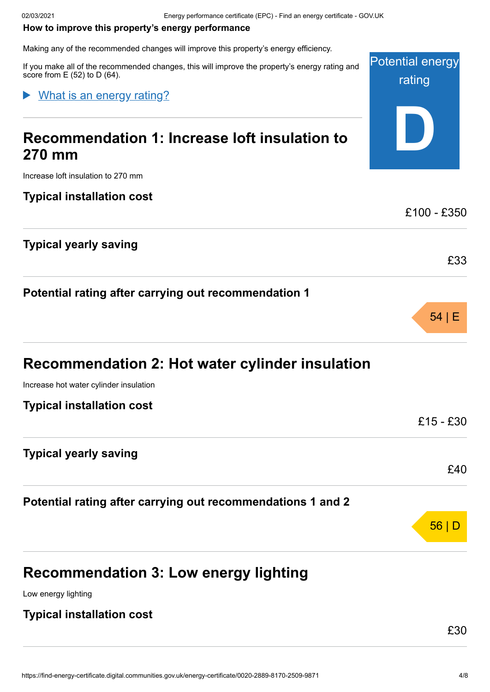#### <span id="page-3-0"></span>**How to improve this property's energy performance**

Making any of the recommended changes will improve this property's energy efficiency.

If you make all of the recommended changes, this will improve the property's energy score from  $E(52)$  to  $D(64)$ .

#### What is an energy rating?

## **Recommendation 1: Increase loft insulation 270 mm**

Increase loft insulation to 270 mm

#### **Typical installation cost**

#### **Typical yearly saving**

#### **Potential rating after carrying out recommendation 1**

| <b>Recommendation 2: Hot water cylinder insulation</b> |  |  |
|--------------------------------------------------------|--|--|
|--------------------------------------------------------|--|--|

Increase hot water cylinder insulation

| Typical installation cost |  |  |  |
|---------------------------|--|--|--|
|---------------------------|--|--|--|

#### **Typical yearly saving**

**Potential rating after carrying out recommendations 1 and 2**

## **Recommendation 3: Low energy lighting**

Low energy lighting

#### **Typical installation cost**

£30

£33

54 | E

£15 - £30

£40

56 | D

| сy.        |                                   |
|------------|-----------------------------------|
| rating and | <b>Potential energy</b><br>rating |
| า to       |                                   |
|            | £100 - £350                       |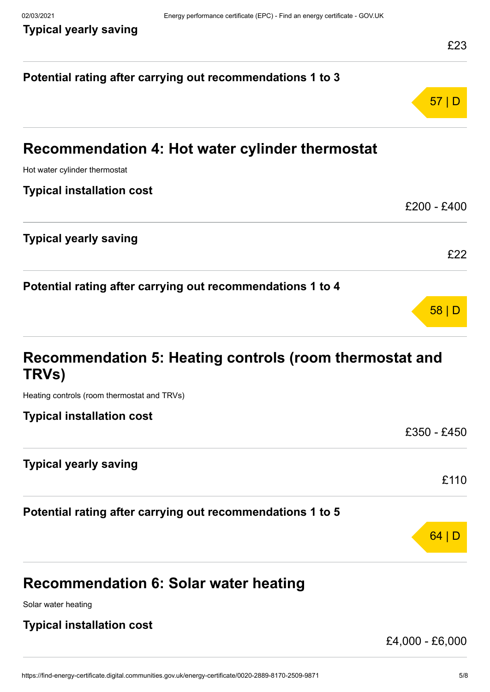## **Potential rating after carrying out recommendations 1 to 3** 57 | D **Recommendation 4: Hot water cylinder thermostat** Hot water cylinder thermostat **Typical installation cost**  $f200 - f400$ **Typical yearly saving** £22 **Potential rating after carrying out recommendations 1 to 4** 58 | D **Recommendation 5: Heating controls (room thermostat and TRVs)** Heating controls (room thermostat and TRVs) **Typical installation cost** £350 - £450 **Typical yearly saving** £110 **Potential rating after carrying out recommendations 1 to 5** 64 | D **Recommendation 6: Solar water heating** Solar water heating **Typical installation cost**

£4,000 - £6,000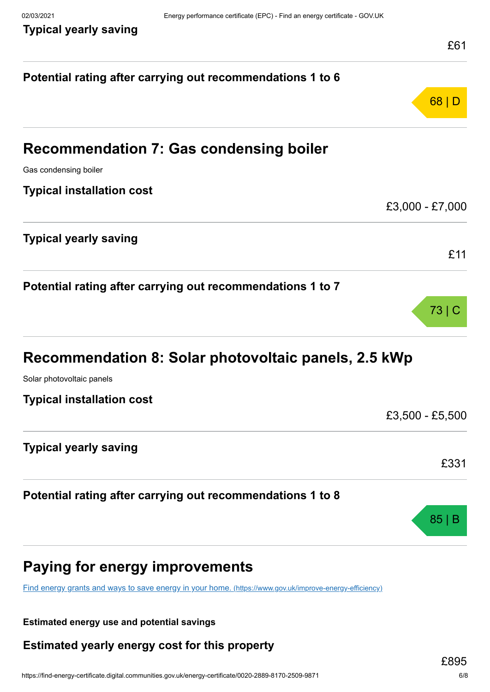|                                                                                                         | LU I            |
|---------------------------------------------------------------------------------------------------------|-----------------|
| Potential rating after carrying out recommendations 1 to 6                                              |                 |
|                                                                                                         | 68 D            |
| <b>Recommendation 7: Gas condensing boiler</b>                                                          |                 |
| Gas condensing boiler                                                                                   |                 |
| <b>Typical installation cost</b>                                                                        |                 |
|                                                                                                         | £3,000 - £7,000 |
| <b>Typical yearly saving</b>                                                                            |                 |
|                                                                                                         | £11             |
| Potential rating after carrying out recommendations 1 to 7                                              |                 |
|                                                                                                         | 73 C            |
| Recommendation 8: Solar photovoltaic panels, 2.5 kWp                                                    |                 |
| Solar photovoltaic panels                                                                               |                 |
| <b>Typical installation cost</b>                                                                        |                 |
|                                                                                                         | £3,500 - £5,500 |
| <b>Typical yearly saving</b>                                                                            |                 |
|                                                                                                         | £331            |
| Potential rating after carrying out recommendations 1 to 8                                              |                 |
|                                                                                                         | 85 <sub>1</sub> |
| <b>Paying for energy improvements</b>                                                                   |                 |
| Find energy grants and ways to save energy in your home. (https://www.gov.uk/improve-energy-efficiency) |                 |

**Estimated energy use and potential savings**

**Estimated yearly energy cost for this property**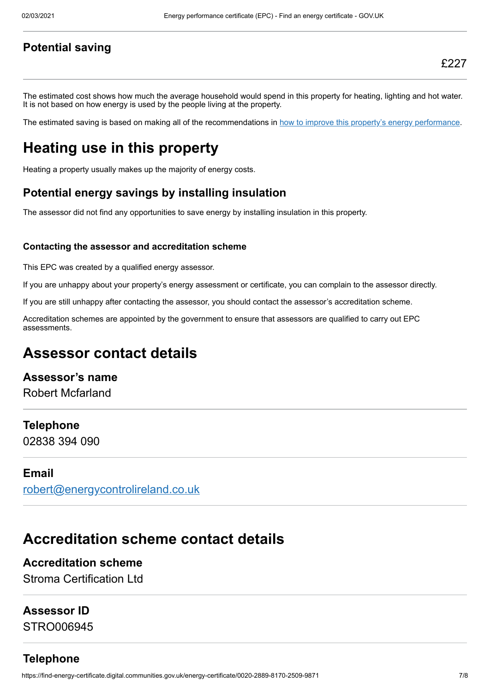#### **Potential saving**

The estimated cost shows how much the average household would spend in this property for heating, lighting and hot water. It is not based on how energy is used by the people living at the property.

The estimated saving is based on making all of the recommendations in [how to improve this property's energy performance.](#page-3-0)

## **Heating use in this property**

Heating a property usually makes up the majority of energy costs.

#### **Potential energy savings by installing insulation**

The assessor did not find any opportunities to save energy by installing insulation in this property.

#### **Contacting the assessor and accreditation scheme**

This EPC was created by a qualified energy assessor.

If you are unhappy about your property's energy assessment or certificate, you can complain to the assessor directly.

If you are still unhappy after contacting the assessor, you should contact the assessor's accreditation scheme.

Accreditation schemes are appointed by the government to ensure that assessors are qualified to carry out EPC assessments.

### **Assessor contact details**

#### **Assessor's name**

Robert Mcfarland

#### **Telephone**

02838 394 090

#### **Email**

[robert@energycontrolireland.co.uk](mailto:robert@energycontrolireland.co.uk)

## **Accreditation scheme contact details**

#### **Accreditation scheme**

Stroma Certification Ltd

#### **Assessor ID**

STRO006945

#### **Telephone**

https://find-energy-certificate.digital.communities.gov.uk/energy-certificate/0020-2889-8170-2509-9871 7/8